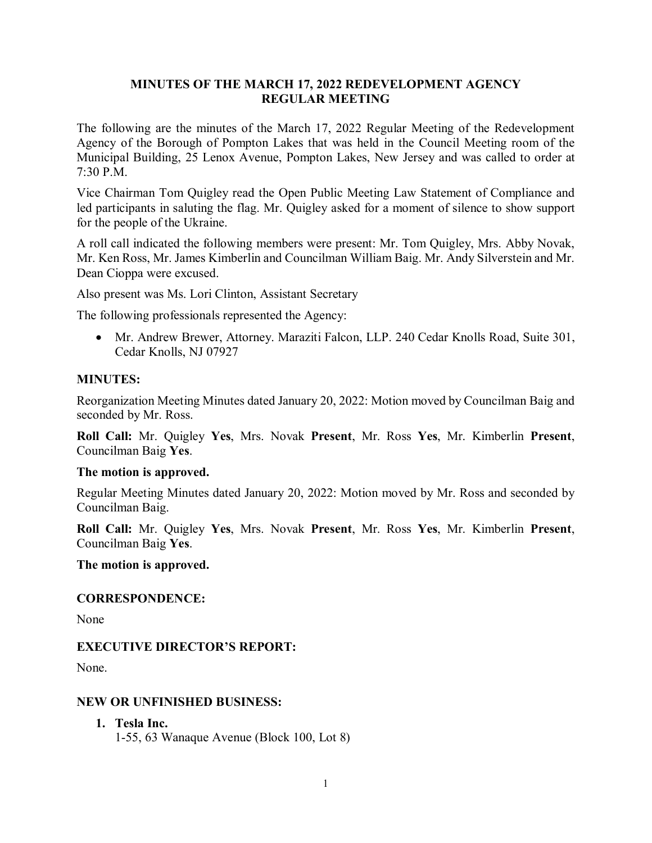### **MINUTES OF THE MARCH 17, 2022 REDEVELOPMENT AGENCY REGULAR MEETING**

The following are the minutes of the March 17, 2022 Regular Meeting of the Redevelopment Agency of the Borough of Pompton Lakes that was held in the Council Meeting room of the Municipal Building, 25 Lenox Avenue, Pompton Lakes, New Jersey and was called to order at 7:30 P.M.

Vice Chairman Tom Quigley read the Open Public Meeting Law Statement of Compliance and led participants in saluting the flag. Mr. Quigley asked for a moment of silence to show support for the people of the Ukraine.

A roll call indicated the following members were present: Mr. Tom Quigley, Mrs. Abby Novak, Mr. Ken Ross, Mr. James Kimberlin and Councilman William Baig. Mr. Andy Silverstein and Mr. Dean Cioppa were excused.

Also present was Ms. Lori Clinton, Assistant Secretary

The following professionals represented the Agency:

• Mr. Andrew Brewer, Attorney. Maraziti Falcon, LLP. 240 Cedar Knolls Road, Suite 301, Cedar Knolls, NJ 07927

### **MINUTES:**

Reorganization Meeting Minutes dated January 20, 2022: Motion moved by Councilman Baig and seconded by Mr. Ross.

**Roll Call:** Mr. Quigley **Yes**, Mrs. Novak **Present**, Mr. Ross **Yes**, Mr. Kimberlin **Present**, Councilman Baig **Yes**.

### **The motion is approved.**

Regular Meeting Minutes dated January 20, 2022: Motion moved by Mr. Ross and seconded by Councilman Baig.

**Roll Call:** Mr. Quigley **Yes**, Mrs. Novak **Present**, Mr. Ross **Yes**, Mr. Kimberlin **Present**, Councilman Baig **Yes**.

#### **The motion is approved.**

### **CORRESPONDENCE:**

None

### **EXECUTIVE DIRECTOR'S REPORT:**

None.

### **NEW OR UNFINISHED BUSINESS:**

**1. Tesla Inc.** 1-55, 63 Wanaque Avenue (Block 100, Lot 8)